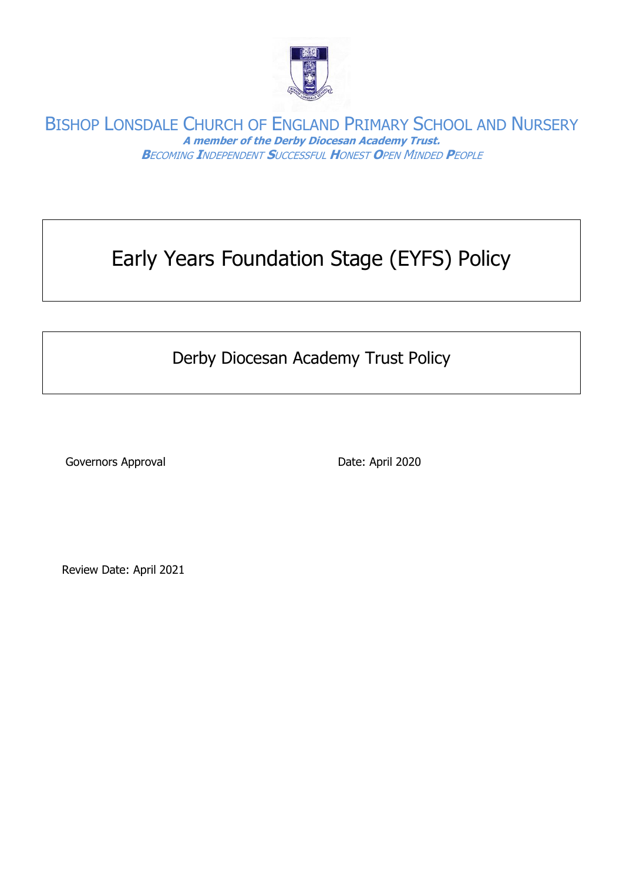

# Early Years Foundation Stage (EYFS) Policy

# Derby Diocesan Academy Trust Policy

Governors Approval **Date: April 2020** 

Review Date: April 2021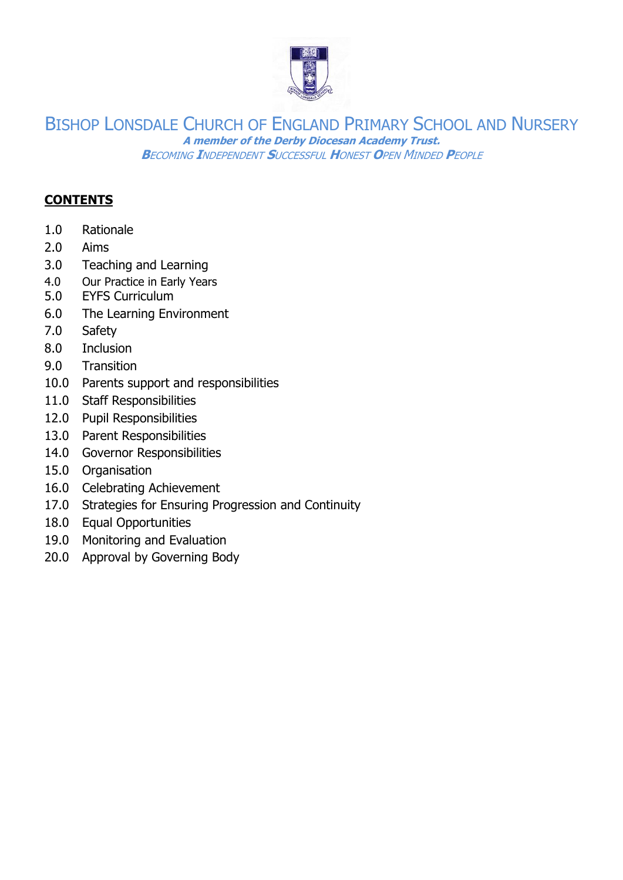

#### **CONTENTS**

- 1.0 Rationale
- 2.0 Aims
- 3.0 Teaching and Learning
- 4.0 Our Practice in Early Years
- 5.0 EYFS Curriculum
- 6.0 The Learning Environment
- 7.0 Safety
- 8.0 Inclusion
- 9.0 Transition
- 10.0 Parents support and responsibilities
- 11.0 Staff Responsibilities
- 12.0 Pupil Responsibilities
- 13.0 Parent Responsibilities
- 14.0 Governor Responsibilities
- 15.0 Organisation
- 16.0 Celebrating Achievement
- 17.0 Strategies for Ensuring Progression and Continuity
- 18.0 Equal Opportunities
- 19.0 Monitoring and Evaluation
- 20.0 Approval by Governing Body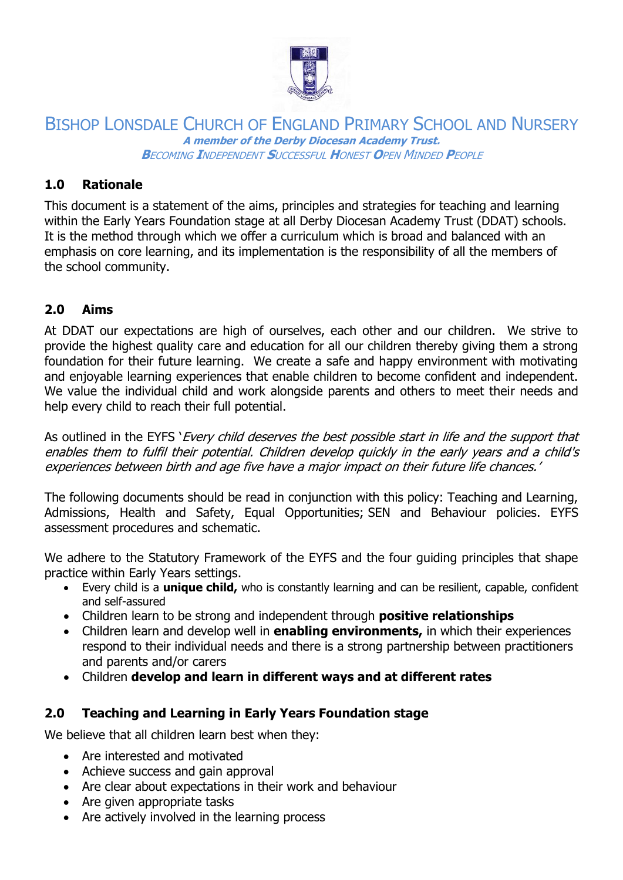

# **1.0 Rationale**

This document is a statement of the aims, principles and strategies for teaching and learning within the Early Years Foundation stage at all Derby Diocesan Academy Trust (DDAT) schools. It is the method through which we offer a curriculum which is broad and balanced with an emphasis on core learning, and its implementation is the responsibility of all the members of the school community.

# **2.0 Aims**

At DDAT our expectations are high of ourselves, each other and our children. We strive to provide the highest quality care and education for all our children thereby giving them a strong foundation for their future learning. We create a safe and happy environment with motivating and enjoyable learning experiences that enable children to become confident and independent. We value the individual child and work alongside parents and others to meet their needs and help every child to reach their full potential.

As outlined in the EYFS '*Every child deserves the best possible start in life and the support that* enables them to fulfil their potential. Children develop quickly in the early years and a child's experiences between birth and age five have a major impact on their future life chances.'

The following documents should be read in conjunction with this policy: Teaching and Learning, Admissions, Health and Safety, Equal Opportunities; SEN and Behaviour policies. EYFS assessment procedures and schematic.

We adhere to the Statutory Framework of the EYFS and the four quiding principles that shape practice within Early Years settings.

- Every child is a **unique child,** who is constantly learning and can be resilient, capable, confident and self-assured
- Children learn to be strong and independent through **positive relationships**
- Children learn and develop well in **enabling environments,** in which their experiences respond to their individual needs and there is a strong partnership between practitioners and parents and/or carers
- Children **develop and learn in different ways and at different rates**

# **2.0 Teaching and Learning in Early Years Foundation stage**

We believe that all children learn best when they:

- Are interested and motivated
- Achieve success and gain approval
- Are clear about expectations in their work and behaviour
- Are given appropriate tasks
- Are actively involved in the learning process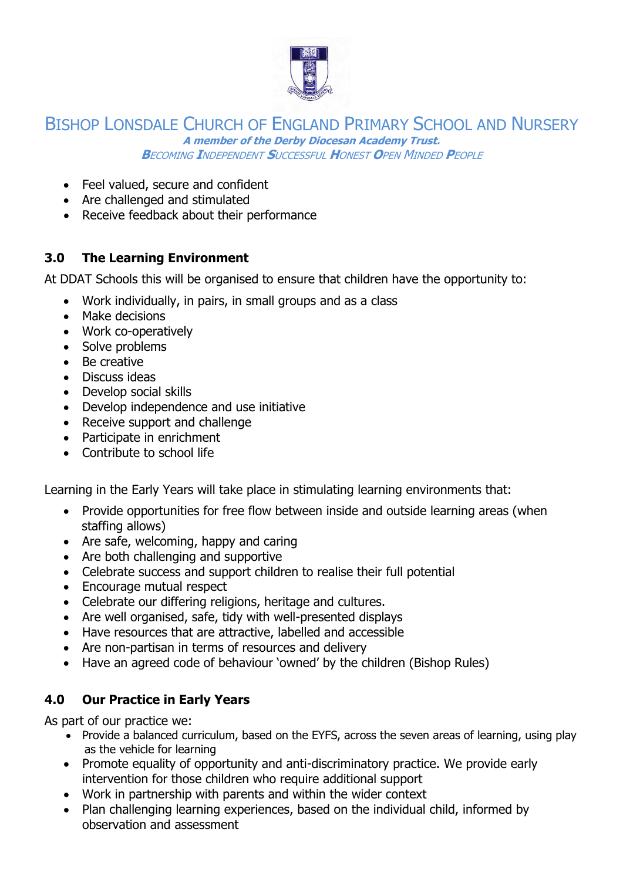

- Feel valued, secure and confident
- Are challenged and stimulated
- Receive feedback about their performance

# **3.0 The Learning Environment**

At DDAT Schools this will be organised to ensure that children have the opportunity to:

- Work individually, in pairs, in small groups and as a class
- Make decisions
- Work co-operatively
- Solve problems
- Be creative
- Discuss ideas
- Develop social skills
- Develop independence and use initiative
- Receive support and challenge
- Participate in enrichment
- Contribute to school life

Learning in the Early Years will take place in stimulating learning environments that:

- Provide opportunities for free flow between inside and outside learning areas (when staffing allows)
- Are safe, welcoming, happy and caring
- Are both challenging and supportive
- Celebrate success and support children to realise their full potential
- Encourage mutual respect
- Celebrate our differing religions, heritage and cultures.
- Are well organised, safe, tidy with well-presented displays
- Have resources that are attractive, labelled and accessible
- Are non-partisan in terms of resources and delivery
- Have an agreed code of behaviour 'owned' by the children (Bishop Rules)

# **4.0 Our Practice in Early Years**

As part of our practice we:

- Provide a balanced curriculum, based on the EYFS, across the seven areas of learning, using play as the vehicle for learning
- Promote equality of opportunity and anti-discriminatory practice. We provide early intervention for those children who require additional support
- Work in partnership with parents and within the wider context
- Plan challenging learning experiences, based on the individual child, informed by observation and assessment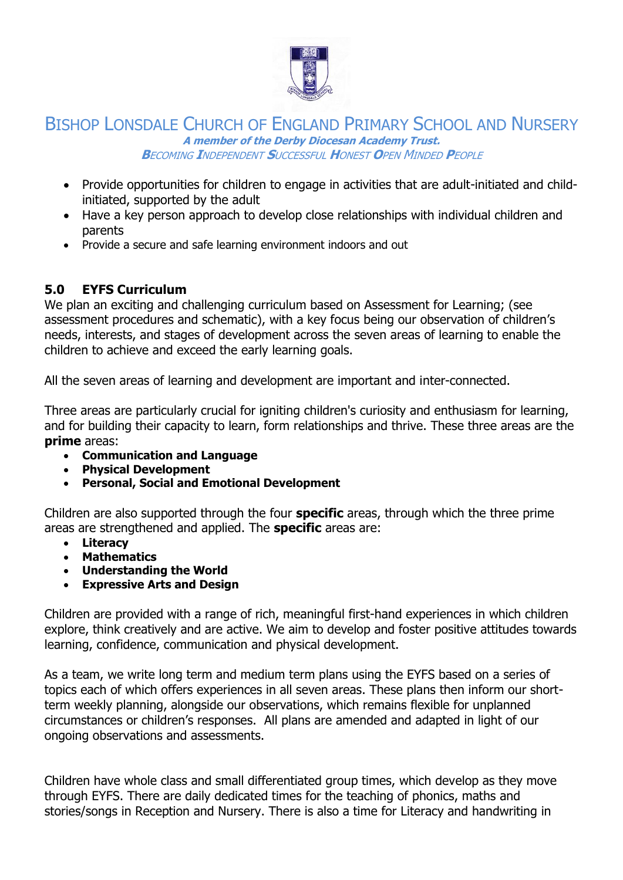

- Provide opportunities for children to engage in activities that are adult-initiated and childinitiated, supported by the adult
- Have a key person approach to develop close relationships with individual children and parents
- Provide a secure and safe learning environment indoors and out

# **5.0 EYFS Curriculum**

We plan an exciting and challenging curriculum based on Assessment for Learning; (see assessment procedures and schematic), with a key focus being our observation of children's needs, interests, and stages of development across the seven areas of learning to enable the children to achieve and exceed the early learning goals.

All the seven areas of learning and development are important and inter-connected.

Three areas are particularly crucial for igniting children's curiosity and enthusiasm for learning, and for building their capacity to learn, form relationships and thrive. These three areas are the **prime** areas:

- **Communication and Language**
- **Physical Development**
- **Personal, Social and Emotional Development**

Children are also supported through the four **specific** areas, through which the three prime areas are strengthened and applied. The **specific** areas are:

- **Literacy**
- **Mathematics**
- **Understanding the World**
- **Expressive Arts and Design**

Children are provided with a range of rich, meaningful first-hand experiences in which children explore, think creatively and are active. We aim to develop and foster positive attitudes towards learning, confidence, communication and physical development.

As a team, we write long term and medium term plans using the EYFS based on a series of topics each of which offers experiences in all seven areas. These plans then inform our shortterm weekly planning, alongside our observations, which remains flexible for unplanned circumstances or children's responses. All plans are amended and adapted in light of our ongoing observations and assessments.

Children have whole class and small differentiated group times, which develop as they move through EYFS. There are daily dedicated times for the teaching of phonics, maths and stories/songs in Reception and Nursery. There is also a time for Literacy and handwriting in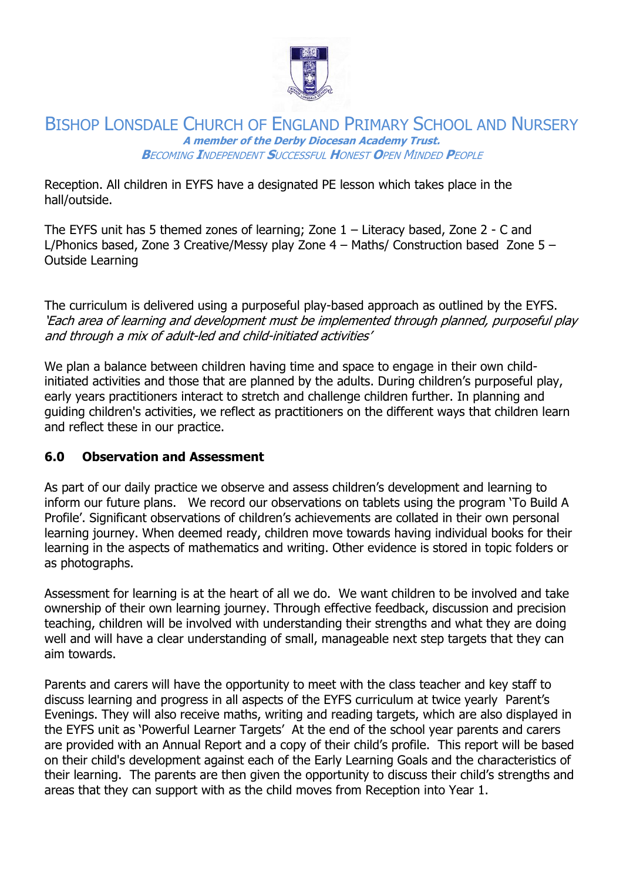

Reception. All children in EYFS have a designated PE lesson which takes place in the hall/outside.

The EYFS unit has 5 themed zones of learning; Zone 1 – Literacy based, Zone 2 - C and L/Phonics based, Zone 3 Creative/Messy play Zone 4 – Maths/ Construction based Zone 5 – Outside Learning

The curriculum is delivered using a purposeful play-based approach as outlined by the EYFS. 'Each area of learning and development must be implemented through planned, purposeful play and through a mix of adult-led and child-initiated activities'

We plan a balance between children having time and space to engage in their own childinitiated activities and those that are planned by the adults. During children's purposeful play, early years practitioners interact to stretch and challenge children further. In planning and guiding children's activities, we reflect as practitioners on the different ways that children learn and reflect these in our practice.

# **6.0 Observation and Assessment**

As part of our daily practice we observe and assess children's development and learning to inform our future plans. We record our observations on tablets using the program 'To Build A Profile'. Significant observations of children's achievements are collated in their own personal learning journey. When deemed ready, children move towards having individual books for their learning in the aspects of mathematics and writing. Other evidence is stored in topic folders or as photographs.

Assessment for learning is at the heart of all we do. We want children to be involved and take ownership of their own learning journey. Through effective feedback, discussion and precision teaching, children will be involved with understanding their strengths and what they are doing well and will have a clear understanding of small, manageable next step targets that they can aim towards.

Parents and carers will have the opportunity to meet with the class teacher and key staff to discuss learning and progress in all aspects of the EYFS curriculum at twice yearly Parent's Evenings. They will also receive maths, writing and reading targets, which are also displayed in the EYFS unit as 'Powerful Learner Targets' At the end of the school year parents and carers are provided with an Annual Report and a copy of their child's profile. This report will be based on their child's development against each of the Early Learning Goals and the characteristics of their learning. The parents are then given the opportunity to discuss their child's strengths and areas that they can support with as the child moves from Reception into Year 1.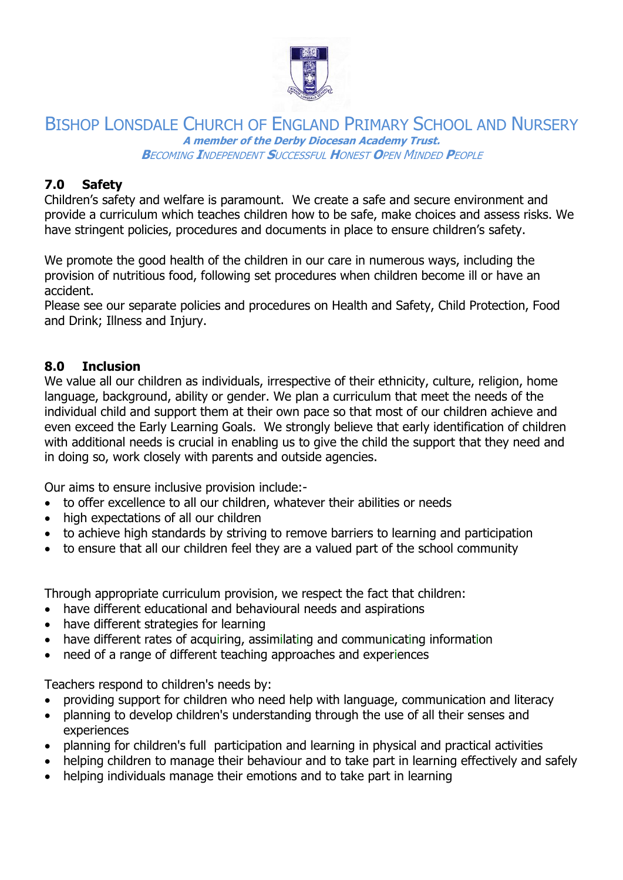

# **7.0 Safety**

Children's safety and welfare is paramount. We create a safe and secure environment and provide a curriculum which teaches children how to be safe, make choices and assess risks. We have stringent policies, procedures and documents in place to ensure children's safety.

We promote the good health of the children in our care in numerous ways, including the provision of nutritious food, following set procedures when children become ill or have an accident.

Please see our separate policies and procedures on Health and Safety, Child Protection, Food and Drink; Illness and Injury.

#### **8.0 Inclusion**

We value all our children as individuals, irrespective of their ethnicity, culture, religion, home language, background, ability or gender. We plan a curriculum that meet the needs of the individual child and support them at their own pace so that most of our children achieve and even exceed the Early Learning Goals. We strongly believe that early identification of children with additional needs is crucial in enabling us to give the child the support that they need and in doing so, work closely with parents and outside agencies.

Our aims to ensure inclusive provision include:-

- to offer excellence to all our children, whatever their abilities or needs
- high expectations of all our children
- to achieve high standards by striving to remove barriers to learning and participation
- to ensure that all our children feel they are a valued part of the school community

Through appropriate curriculum provision, we respect the fact that children:

- have different educational and behavioural needs and aspirations
- have different strategies for learning
- have different rates of acquiring, assimilating and communicating information
- need of a range of different teaching approaches and experiences

Teachers respond to children's needs by:

- providing support for children who need help with language, communication and literacy
- planning to develop children's understanding through the use of all their senses and experiences
- planning for children's full participation and learning in physical and practical activities
- helping children to manage their behaviour and to take part in learning effectively and safely
- helping individuals manage their emotions and to take part in learning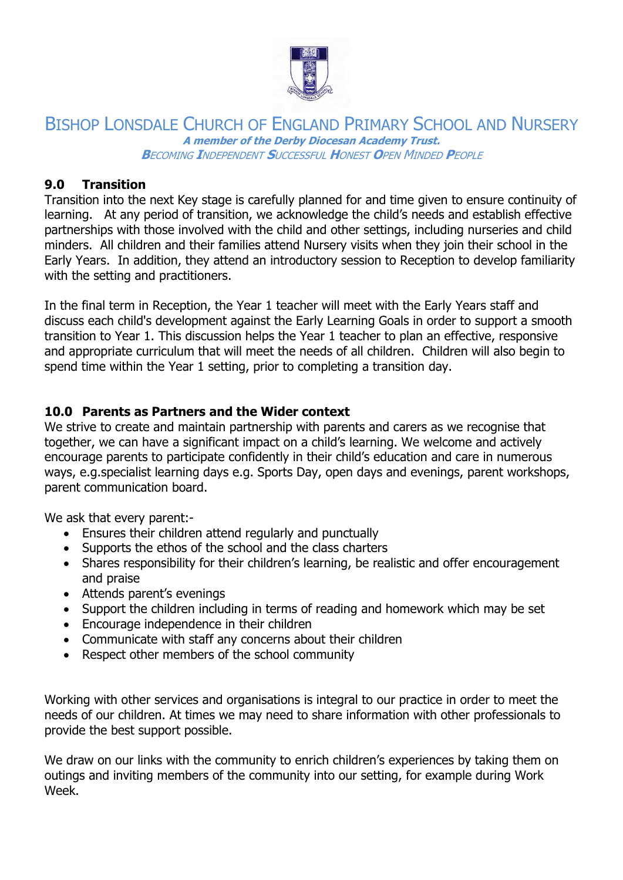

# **9.0 Transition**

Transition into the next Key stage is carefully planned for and time given to ensure continuity of learning. At any period of transition, we acknowledge the child's needs and establish effective partnerships with those involved with the child and other settings, including nurseries and child minders. All children and their families attend Nursery visits when they join their school in the Early Years. In addition, they attend an introductory session to Reception to develop familiarity with the setting and practitioners.

In the final term in Reception, the Year 1 teacher will meet with the Early Years staff and discuss each child's development against the Early Learning Goals in order to support a smooth transition to Year 1. This discussion helps the Year 1 teacher to plan an effective, responsive and appropriate curriculum that will meet the needs of all children. Children will also begin to spend time within the Year 1 setting, prior to completing a transition day.

# **10.0 Parents as Partners and the Wider context**

We strive to create and maintain partnership with parents and carers as we recognise that together, we can have a significant impact on a child's learning. We welcome and actively encourage parents to participate confidently in their child's education and care in numerous ways, e.g.specialist learning days e.g. Sports Day, open days and evenings, parent workshops, parent communication board.

We ask that every parent:-

- Ensures their children attend regularly and punctually
- Supports the ethos of the school and the class charters
- Shares responsibility for their children's learning, be realistic and offer encouragement and praise
- Attends parent's evenings
- Support the children including in terms of reading and homework which may be set
- Encourage independence in their children
- Communicate with staff any concerns about their children
- Respect other members of the school community

Working with other services and organisations is integral to our practice in order to meet the needs of our children. At times we may need to share information with other professionals to provide the best support possible.

We draw on our links with the community to enrich children's experiences by taking them on outings and inviting members of the community into our setting, for example during Work Week.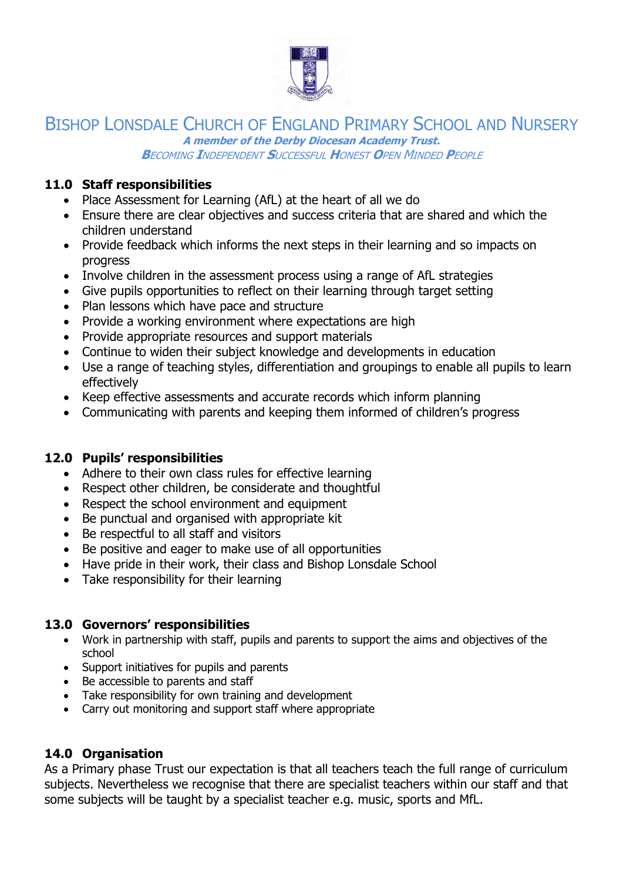

BISHOP LONSDALE CHURCH OF ENGLAND PRIMARY SCHOOL AND NURSERY **A member of the Derby Diocesan Academy Trust.**

**B**ECOMING **I**NDEPENDENT **S**UCCESSFUL **H**ONEST **O**PEN MINDED **P**EOPLE

#### **11.0 Staff responsibilities**

- Place Assessment for Learning (AfL) at the heart of all we do
- Ensure there are clear objectives and success criteria that are shared and which the children understand
- Provide feedback which informs the next steps in their learning and so impacts on progress
- Involve children in the assessment process using a range of AfL strategies
- Give pupils opportunities to reflect on their learning through target setting
- Plan lessons which have pace and structure
- Provide a working environment where expectations are high
- Provide appropriate resources and support materials
- Continue to widen their subject knowledge and developments in education
- Use a range of teaching styles, differentiation and groupings to enable all pupils to learn effectively
- Keep effective assessments and accurate records which inform planning
- Communicating with parents and keeping them informed of children's progress

# **12.0 Pupils' responsibilities**

- Adhere to their own class rules for effective learning
- Respect other children, be considerate and thoughtful
- Respect the school environment and equipment
- Be punctual and organised with appropriate kit
- Be respectful to all staff and visitors
- Be positive and eager to make use of all opportunities
- Have pride in their work, their class and Bishop Lonsdale School
- Take responsibility for their learning

#### **13.0 Governors' responsibilities**

- Work in partnership with staff, pupils and parents to support the aims and objectives of the school
- Support initiatives for pupils and parents
- Be accessible to parents and staff
- Take responsibility for own training and development
- Carry out monitoring and support staff where appropriate

#### **14.0 Organisation**

As a Primary phase Trust our expectation is that all teachers teach the full range of curriculum subjects. Nevertheless we recognise that there are specialist teachers within our staff and that some subjects will be taught by a specialist teacher e.g. music, sports and MfL.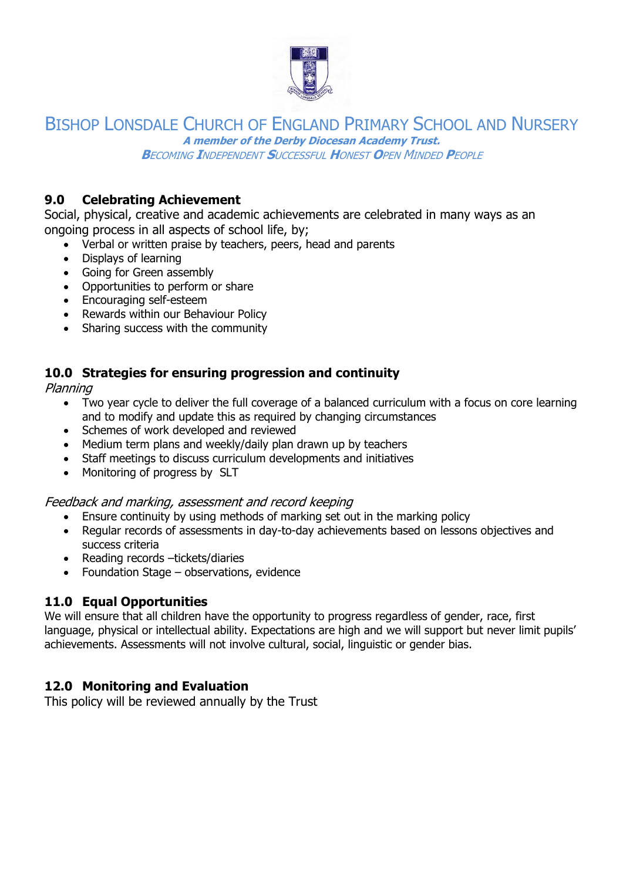

BISHOP LONSDALE CHURCH OF ENGLAND PRIMARY SCHOOL AND NURSERY **A member of the Derby Diocesan Academy Trust.**

**B**ECOMING **I**NDEPENDENT **S**UCCESSFUL **H**ONEST **O**PEN MINDED **P**EOPLE

# **9.0 Celebrating Achievement**

Social, physical, creative and academic achievements are celebrated in many ways as an ongoing process in all aspects of school life, by;

- Verbal or written praise by teachers, peers, head and parents
- Displays of learning
- Going for Green assembly
- Opportunities to perform or share
- Encouraging self-esteem
- Rewards within our Behaviour Policy
- Sharing success with the community

#### **10.0 Strategies for ensuring progression and continuity**

Planning

- Two year cycle to deliver the full coverage of a balanced curriculum with a focus on core learning and to modify and update this as required by changing circumstances
- Schemes of work developed and reviewed
- Medium term plans and weekly/daily plan drawn up by teachers
- Staff meetings to discuss curriculum developments and initiatives
- Monitoring of progress by SLT

#### Feedback and marking, assessment and record keeping

- Ensure continuity by using methods of marking set out in the marking policy
- Regular records of assessments in day-to-day achievements based on lessons objectives and success criteria
- Reading records –tickets/diaries
- Foundation Stage observations, evidence

# **11.0 Equal Opportunities**

We will ensure that all children have the opportunity to progress regardless of gender, race, first language, physical or intellectual ability. Expectations are high and we will support but never limit pupils' achievements. Assessments will not involve cultural, social, linguistic or gender bias.

# **12.0 Monitoring and Evaluation**

This policy will be reviewed annually by the Trust